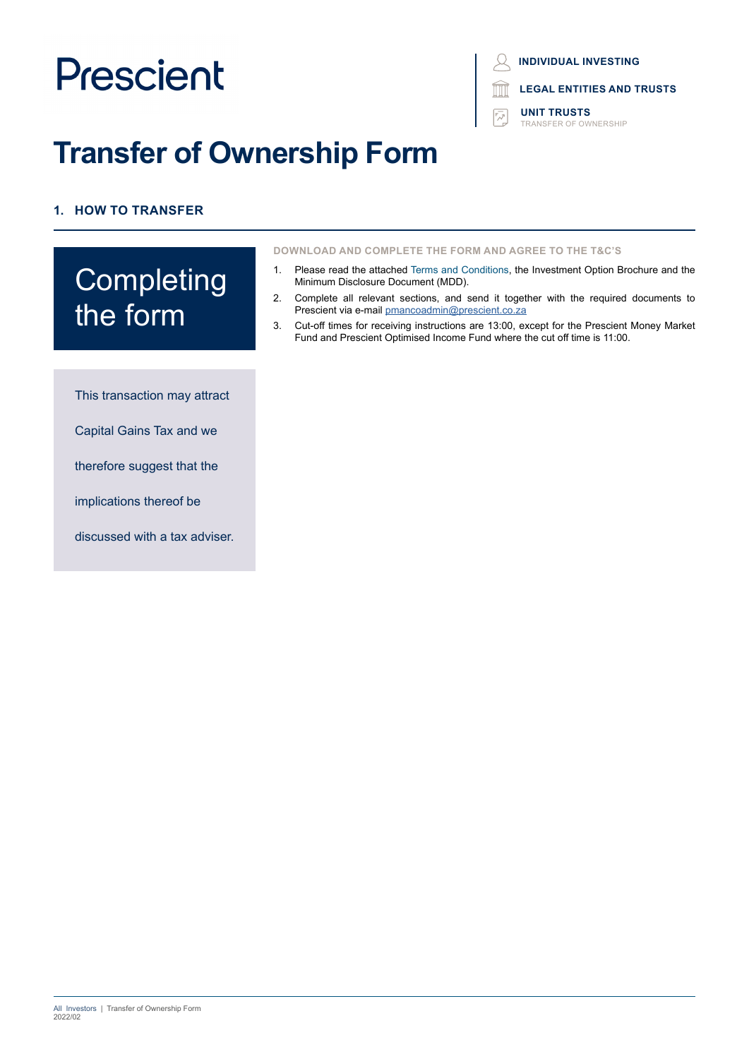# **Transfer of Ownership Form**

# **1. HOW TO TRANSFER**

# **Completing** the form

This transaction may attract

Capital Gains Tax and we

therefore suggest that the

implications thereof be

discussed with a tax adviser.

## **INDIVIDUAL INVESTING**

**LEGAL ENTITIES AND TRUSTS**

**UNIT TRUSTS** TRANSFER OF OWNERSHIP

**DOWNLOAD AND COMPLETE THE FORM AND AGREE TO THE T&C'S**

- 1. Please read the attached Terms and Conditions, the Investment Option Brochure and the Minimum Disclosure Document (MDD).
- 2. Complete all relevant sections, and send it together with the required documents to Prescient via e-mail [pmancoadmin@prescient.co.za](mailto:pmancoadmin%40prescient.co.za?subject=Prescient%20-%20Transfer%20of%20Ownership%20Application%20Form)
- 3. Cut-off times for receiving instructions are 13:00, except for the Prescient Money Market Fund and Prescient Optimised Income Fund where the cut off time is 11:00.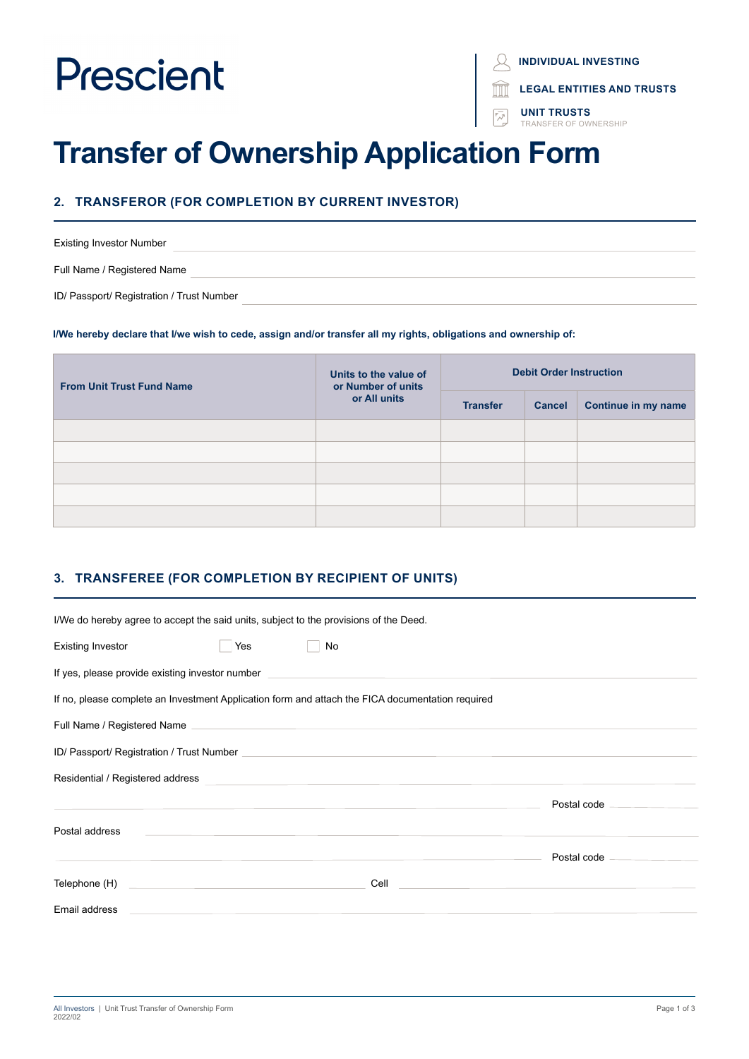**INDIVIDUAL INVESTING**

**LEGAL ENTITIES AND TRUSTS**

**UNIT TRUSTS** SEER OF OWNERSHIP

# **Transfer of Ownership Application Form**

## **2. TRANSFEROR (FOR COMPLETION BY CURRENT INVESTOR)**

Existing Investor Number Full Name / Registered Name ID/ Passport/ Registration / Trust Number

#### **I/We hereby declare that I/we wish to cede, assign and/or transfer all my rights, obligations and ownership of:**

| <b>From Unit Trust Fund Name</b> | Units to the value of<br>or Number of units<br>or All units | <b>Debit Order Instruction</b> |               |                            |
|----------------------------------|-------------------------------------------------------------|--------------------------------|---------------|----------------------------|
|                                  |                                                             | <b>Transfer</b>                | <b>Cancel</b> | <b>Continue in my name</b> |
|                                  |                                                             |                                |               |                            |
|                                  |                                                             |                                |               |                            |
|                                  |                                                             |                                |               |                            |
|                                  |                                                             |                                |               |                            |
|                                  |                                                             |                                |               |                            |

## **3. TRANSFEREE (FOR COMPLETION BY RECIPIENT OF UNITS)**

| I/We do hereby agree to accept the said units, subject to the provisions of the Deed.                                                                                                                                                         |                            |
|-----------------------------------------------------------------------------------------------------------------------------------------------------------------------------------------------------------------------------------------------|----------------------------|
| Yes<br>Existing Investor<br>No                                                                                                                                                                                                                |                            |
| If yes, please provide existing investor number <b>the contract of the contract of the contract of the contract of the contract of the contract of the contract of the contract of the contract of the contract of the contract </b>          |                            |
| If no, please complete an Investment Application form and attach the FICA documentation required                                                                                                                                              |                            |
|                                                                                                                                                                                                                                               |                            |
|                                                                                                                                                                                                                                               |                            |
| Residential / Registered address <b>Contract Contract Contract Contract Contract Contract Contract Contract Contract Contract Contract Contract Contract Contract Contract Contract Contract Contract Contract Contract Contract</b>          |                            |
|                                                                                                                                                                                                                                               | Postal code ______________ |
| Postal address<br><u> 1999 - Jan Alexander von Barbert von Barbert von Barbert von Barbert von Barbert von Barbert von Barbert von</u>                                                                                                        |                            |
|                                                                                                                                                                                                                                               |                            |
| Cell <b>Cell Cell Cell Cell Cell Cell Cell Cell Cell Cell Cell Cell Cell Cell Cell Cell Cell Cell Cell Cell Cell Cell Cell Cell Cell Cell Cell Cell Cell Cell Cell</b><br><u> 1990 - John Stein, Amerikaansk politiker (</u><br>Telephone (H) |                            |
| Email address                                                                                                                                                                                                                                 |                            |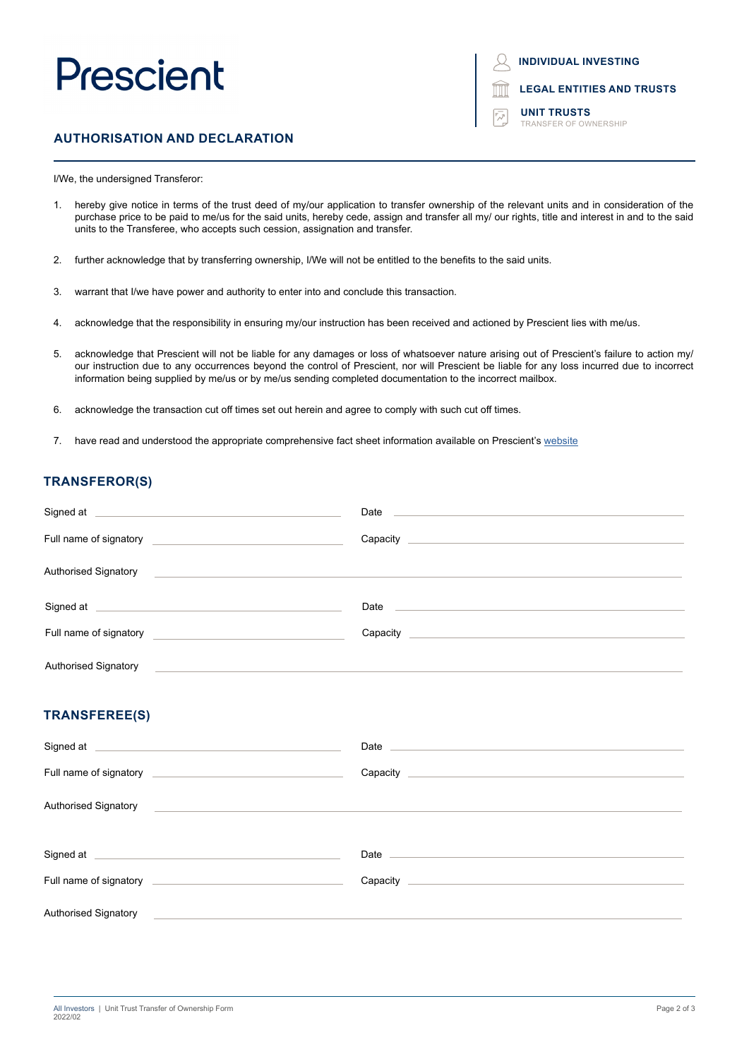**INDIVIDUAL INVESTING**



**UNIT TRUSTS** TRANSFER OF OWNERSHIP

### **AUTHORISATION AND DECLARATION**

I/We, the undersigned Transferor:

- 1. hereby give notice in terms of the trust deed of my/our application to transfer ownership of the relevant units and in consideration of the purchase price to be paid to me/us for the said units, hereby cede, assign and transfer all my/ our rights, title and interest in and to the said units to the Transferee, who accepts such cession, assignation and transfer.
- 2. further acknowledge that by transferring ownership, I/We will not be entitled to the benefits to the said units.
- 3. warrant that I/we have power and authority to enter into and conclude this transaction.
- 4. acknowledge that the responsibility in ensuring my/our instruction has been received and actioned by Prescient lies with me/us.
- 5. acknowledge that Prescient will not be liable for any damages or loss of whatsoever nature arising out of Prescient's failure to action my/ our instruction due to any occurrences beyond the control of Prescient, nor will Prescient be liable for any loss incurred due to incorrect information being supplied by me/us or by me/us sending completed documentation to the incorrect mailbox.
- 6. acknowledge the transaction cut off times set out herein and agree to comply with such cut off times.
- 7. have read and understood the appropriate comprehensive fact sheet information available on Prescient's website

#### **TRANSFEROR(S)**

| Signed at <u>example and a series of the series of the series of the series of the series of the series of the series of the series of the series of the series of the series of the series of the series of the series of the s</u> |                                                                                                                                                                                                                                |
|--------------------------------------------------------------------------------------------------------------------------------------------------------------------------------------------------------------------------------------|--------------------------------------------------------------------------------------------------------------------------------------------------------------------------------------------------------------------------------|
| Full name of signatory<br><u> Alexandria de la contrada de la contrada de la contrada de la contrada de la contrada de la contrada de la c</u>                                                                                       |                                                                                                                                                                                                                                |
| Authorised Signatory                                                                                                                                                                                                                 |                                                                                                                                                                                                                                |
| Signed at <u>example and a series of the series of the series of the series of the series of the series of the series of the series of the series of the series of the series of the series of the series of the series of the s</u> | Date and the contract of the contract of the contract of the contract of the contract of the contract of the contract of the contract of the contract of the contract of the contract of the contract of the contract of the c |
| Full name of signatory and the state of signatory                                                                                                                                                                                    | Capacity                                                                                                                                                                                                                       |
| <b>Authorised Signatory</b>                                                                                                                                                                                                          |                                                                                                                                                                                                                                |

#### **TRANSFEREE(S)**

| Signed at each contract of the state of the state of the state of the state of the state of the state of the state of the state of the state of the state of the state of the state of the state of the state of the state of                 | Date <u>and the second contract of the second contract of the second contract of the second contract of the second</u>                                                                                                         |
|-----------------------------------------------------------------------------------------------------------------------------------------------------------------------------------------------------------------------------------------------|--------------------------------------------------------------------------------------------------------------------------------------------------------------------------------------------------------------------------------|
|                                                                                                                                                                                                                                               |                                                                                                                                                                                                                                |
| Authorised Signatory <b>Contract Contract Contract Contract Contract Contract Contract Contract Contract Contract Contract Contract Contract Contract Contract Contract Contract Contract Contract Contract Contract Contract Co</b>          |                                                                                                                                                                                                                                |
|                                                                                                                                                                                                                                               |                                                                                                                                                                                                                                |
| Signed at <u>example and a series of the series of the series of the series of the series of the series of the series of the series of the series of the series of the series of the series of the series of the series of the s</u>          | Date and the contract of the contract of the contract of the contract of the contract of the contract of the contract of the contract of the contract of the contract of the contract of the contract of the contract of the c |
| Full name of signatory <b>contained</b> and the state of signatory <b>contained</b> and the state of signatory <b>contained</b> and the state of the state of the state of the state of the state of the state of the state of the state of t |                                                                                                                                                                                                                                |
| Authorised Signatory                                                                                                                                                                                                                          |                                                                                                                                                                                                                                |